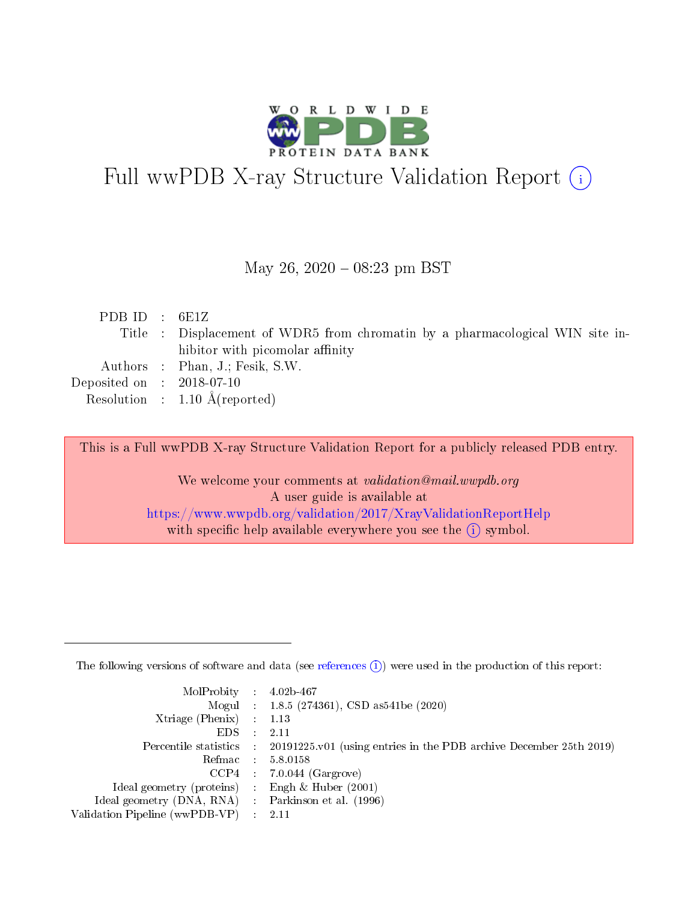

# Full wwPDB X-ray Structure Validation Report (i)

May 26,  $2020 - 08:23$  pm BST

| PDB ID : $6E1Z$             |                                                                               |
|-----------------------------|-------------------------------------------------------------------------------|
|                             | Title : Displacement of WDR5 from chromatin by a pharmacological WIN site in- |
|                             | hibitor with picomolar affinity                                               |
|                             | Authors : Phan, J.; Fesik, S.W.                                               |
| Deposited on : $2018-07-10$ |                                                                               |
|                             | Resolution : $1.10 \text{ Å}$ (reported)                                      |

This is a Full wwPDB X-ray Structure Validation Report for a publicly released PDB entry.

We welcome your comments at validation@mail.wwpdb.org A user guide is available at <https://www.wwpdb.org/validation/2017/XrayValidationReportHelp> with specific help available everywhere you see the  $(i)$  symbol.

The following versions of software and data (see [references](https://www.wwpdb.org/validation/2017/XrayValidationReportHelp#references)  $(1)$ ) were used in the production of this report:

| $MolProbability$ 4.02b-467                          |               |                                                                                            |
|-----------------------------------------------------|---------------|--------------------------------------------------------------------------------------------|
|                                                     |               | Mogul : $1.8.5$ (274361), CSD as 541be (2020)                                              |
| Xtriage (Phenix) $: 1.13$                           |               |                                                                                            |
| EDS.                                                | $\mathcal{L}$ | -2.11                                                                                      |
|                                                     |               | Percentile statistics : 20191225.v01 (using entries in the PDB archive December 25th 2019) |
|                                                     |               | Refmac $5.8.0158$                                                                          |
| CCP4                                                |               | $7.0.044$ (Gargrove)                                                                       |
| Ideal geometry (proteins)                           | $\sim$        | Engh $\&$ Huber (2001)                                                                     |
| Ideal geometry (DNA, RNA) : Parkinson et al. (1996) |               |                                                                                            |
| Validation Pipeline (wwPDB-VP) : 2.11               |               |                                                                                            |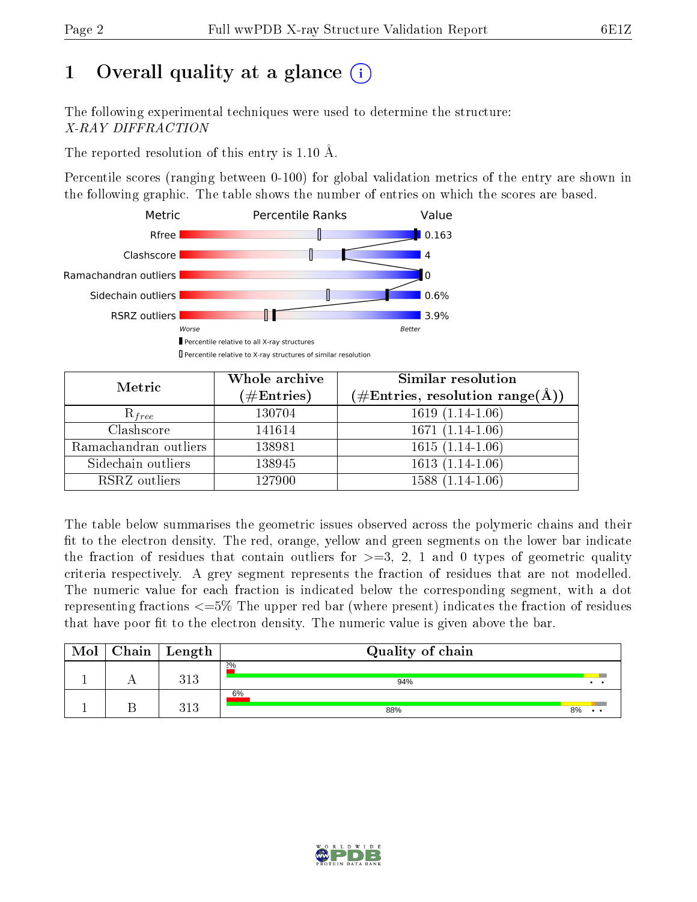## 1 [O](https://www.wwpdb.org/validation/2017/XrayValidationReportHelp#overall_quality)verall quality at a glance  $(i)$

The following experimental techniques were used to determine the structure: X-RAY DIFFRACTION

The reported resolution of this entry is 1.10 Å.

Percentile scores (ranging between 0-100) for global validation metrics of the entry are shown in the following graphic. The table shows the number of entries on which the scores are based.



| Metric                | Whole archive<br>$(\#\mathrm{Entries})$ | Similar resolution<br>$(\#\text{Entries}, \text{resolution range}(\text{\AA}))$ |
|-----------------------|-----------------------------------------|---------------------------------------------------------------------------------|
| $R_{free}$            | 130704                                  | $1619(1.14-1.06)$                                                               |
| Clashscore            | 141614                                  | $1671(1.14-1.06)$                                                               |
| Ramachandran outliers | 138981                                  | $1615(1.14-1.06)$                                                               |
| Sidechain outliers    | 138945                                  | $1613(1.14-1.06)$                                                               |
| RSRZ outliers         | 127900                                  | $1588(1.14-1.06)$                                                               |

The table below summarises the geometric issues observed across the polymeric chains and their fit to the electron density. The red, orange, yellow and green segments on the lower bar indicate the fraction of residues that contain outliers for  $>=3, 2, 1$  and 0 types of geometric quality criteria respectively. A grey segment represents the fraction of residues that are not modelled. The numeric value for each fraction is indicated below the corresponding segment, with a dot representing fractions  $\epsilon=5\%$  The upper red bar (where present) indicates the fraction of residues that have poor fit to the electron density. The numeric value is given above the bar.

| Mol | Chain | Length       | Quality of chain |                       |
|-----|-------|--------------|------------------|-----------------------|
|     |       | 313          | 2%<br>94%        |                       |
|     |       | 212<br>ن 1 ف | 6%<br>88%        | 8%<br>$\cdot$ $\cdot$ |

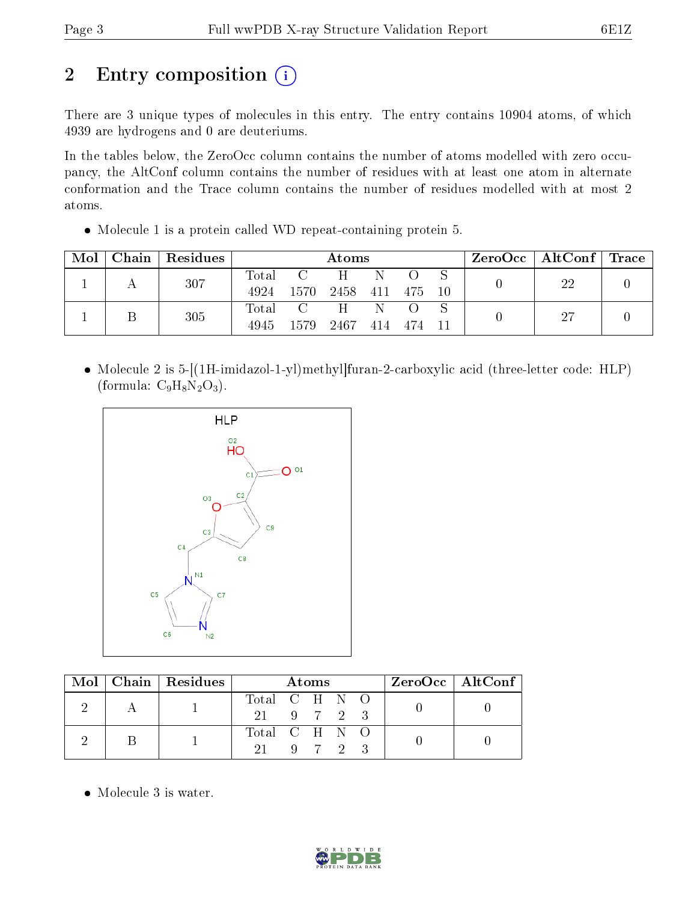## 2 Entry composition (i)

There are 3 unique types of molecules in this entry. The entry contains 10904 atoms, of which 4939 are hydrogens and 0 are deuteriums.

In the tables below, the ZeroOcc column contains the number of atoms modelled with zero occupancy, the AltConf column contains the number of residues with at least one atom in alternate conformation and the Trace column contains the number of residues modelled with at most 2 atoms.

Molecule 1 is a protein called WD repeat-containing protein 5.

| Mol |  | Chain   Residues | Atoms |                 |                   |            | $\text{ZeroOcc}$   AltConf   Trace                           |      |     |  |
|-----|--|------------------|-------|-----------------|-------------------|------------|--------------------------------------------------------------|------|-----|--|
|     |  | 307              | Total | $\sim$ C $\sim$ | $H \quad N$       |            | $\bigcirc$                                                   |      | 22  |  |
|     |  |                  | 4924  |                 | 1570 2458 411 475 |            |                                                              | - 10 |     |  |
|     |  | 305              |       |                 | Total C H N       |            | $\left( \begin{array}{cc} \cdot & \cdot \end{array} \right)$ |      | -27 |  |
|     |  | 4945             |       | 1579 2467       |                   | 414 474 11 |                                                              |      |     |  |

 Molecule 2 is 5-[(1H-imidazol-1-yl)methyl]furan-2-carboxylic acid (three-letter code: HLP) (formula:  $C_9H_8N_2O_3$ ).



|  | $\text{Mol}$   Chain   Residues | Atoms         |  |  | $\rm ZeroOcc \mid AltConf$ |  |  |  |
|--|---------------------------------|---------------|--|--|----------------------------|--|--|--|
|  |                                 | Total C H N O |  |  |                            |  |  |  |
|  |                                 | 21 9 7 2 3    |  |  |                            |  |  |  |
|  |                                 | Total C H N O |  |  |                            |  |  |  |
|  |                                 | -91 -         |  |  | 9 7 2 3                    |  |  |  |

• Molecule 3 is water.

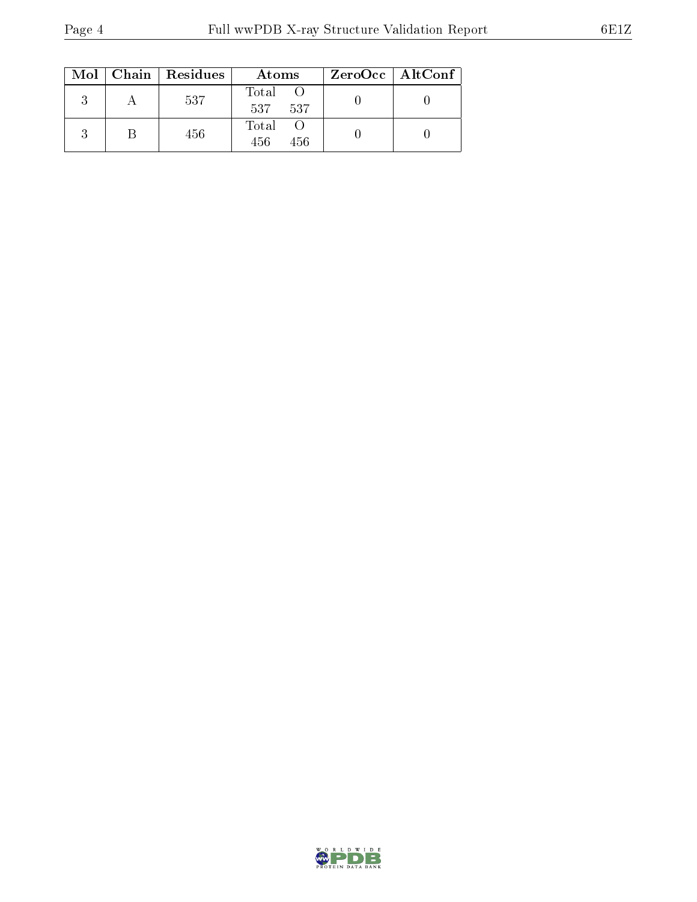|  | $Mol$   Chain   Residues | Atoms               | ZeroOcc   AltConf |
|--|--------------------------|---------------------|-------------------|
|  | 537                      | Total<br>537 537    |                   |
|  | 456                      | Total<br>456<br>456 |                   |

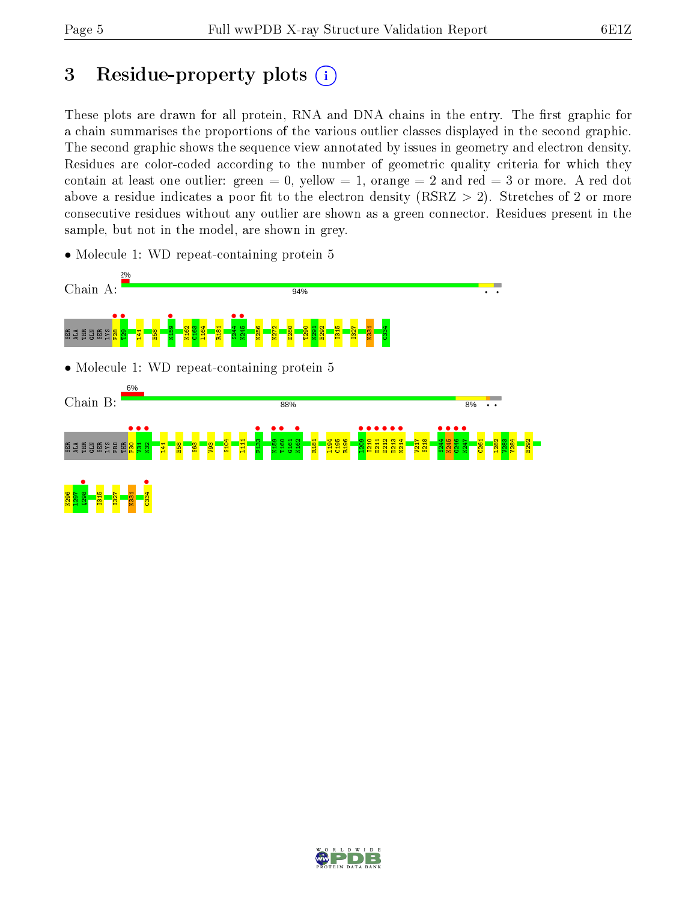## 3 Residue-property plots  $(i)$

These plots are drawn for all protein, RNA and DNA chains in the entry. The first graphic for a chain summarises the proportions of the various outlier classes displayed in the second graphic. The second graphic shows the sequence view annotated by issues in geometry and electron density. Residues are color-coded according to the number of geometric quality criteria for which they contain at least one outlier: green  $= 0$ , yellow  $= 1$ , orange  $= 2$  and red  $= 3$  or more. A red dot above a residue indicates a poor fit to the electron density (RSRZ  $> 2$ ). Stretches of 2 or more consecutive residues without any outlier are shown as a green connector. Residues present in the sample, but not in the model, are shown in grey.

• Molecule 1: WD repeat-containing protein 5



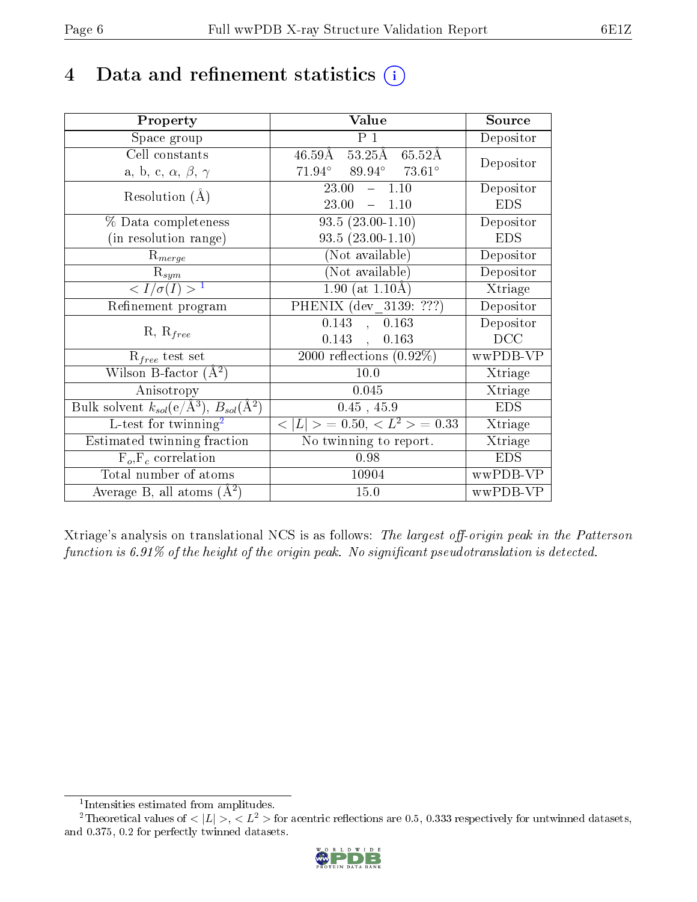## 4 Data and refinement statistics  $(i)$

| Property                                                                | Value                                           | Source     |
|-------------------------------------------------------------------------|-------------------------------------------------|------------|
| Space group                                                             | P <sub>1</sub>                                  | Depositor  |
| Cell constants                                                          | 46.59Å 53.25Å 65.52Å                            | Depositor  |
| a, b, c, $\alpha$ , $\beta$ , $\gamma$                                  | $71.94^{\circ}$ $89.94^{\circ}$ $73.61^{\circ}$ |            |
| Resolution $(A)$                                                        | 23.00<br>$-1.10$                                | Depositor  |
|                                                                         | 23.00<br>$-1.10$                                | <b>EDS</b> |
| % Data completeness                                                     | $93.5(23.00-1.10)$                              | Depositor  |
| (in resolution range)                                                   | $93.5(23.00-1.10)$                              | <b>EDS</b> |
| $R_{merge}$                                                             | (Not available)                                 | Depositor  |
| $\mathrm{R}_{sym}$                                                      | (Not available)                                 | Depositor  |
| $\langle I/\sigma(I) \rangle^{-1}$                                      | $1.90$ (at $1.10\text{\AA}$ )                   | Xtriage    |
| Refinement program                                                      | PHENIX (dev $313\overline{9: ???}$ )            | Depositor  |
| $R, R_{free}$                                                           | 0.143<br>, 0.163                                | Depositor  |
|                                                                         | $0.143$ ,<br>0.163                              | DCC        |
| $R_{free}$ test set                                                     | $2000$ reflections $(0.92\%)$                   | wwPDB-VP   |
| Wilson B-factor $(\AA^2)$                                               | $10.0\,$                                        | Xtriage    |
| Anisotropy                                                              | 0.045                                           | Xtriage    |
| Bulk solvent $k_{sol}(\mathrm{e}/\mathrm{A}^3),\,B_{sol}(\mathrm{A}^2)$ | $0.45$ , $45.9$                                 | <b>EDS</b> |
| L-test for $\mathrm{twinning}^2$                                        | $< L >$ = 0.50, $< L^2 >$ = 0.33                | Xtriage    |
| Estimated twinning fraction                                             | No twinning to report.                          | Xtriage    |
| $F_o, F_c$ correlation                                                  | 0.98                                            | <b>EDS</b> |
| Total number of atoms                                                   | 10904                                           | wwPDB-VP   |
| Average B, all atoms $(A^2)$                                            | 15.0                                            | wwPDB-VP   |

Xtriage's analysis on translational NCS is as follows: The largest off-origin peak in the Patterson function is  $6.91\%$  of the height of the origin peak. No significant pseudotranslation is detected.

<sup>&</sup>lt;sup>2</sup>Theoretical values of  $\langle |L| \rangle$ ,  $\langle L^2 \rangle$  for acentric reflections are 0.5, 0.333 respectively for untwinned datasets, and 0.375, 0.2 for perfectly twinned datasets.



<span id="page-5-1"></span><span id="page-5-0"></span><sup>1</sup> Intensities estimated from amplitudes.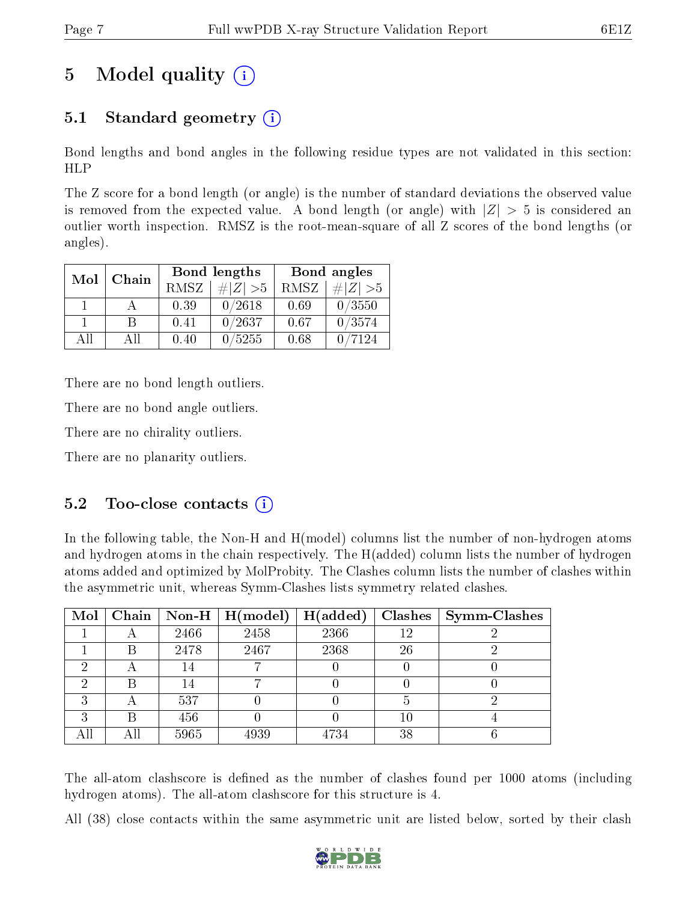## 5 Model quality  $(i)$

### 5.1 Standard geometry (i)

Bond lengths and bond angles in the following residue types are not validated in this section: HLP

The Z score for a bond length (or angle) is the number of standard deviations the observed value is removed from the expected value. A bond length (or angle) with  $|Z| > 5$  is considered an outlier worth inspection. RMSZ is the root-mean-square of all Z scores of the bond lengths (or angles).

| Mol   |      |      | <b>Bond lengths</b> | Bond angles |             |  |
|-------|------|------|---------------------|-------------|-------------|--|
| Chain |      | RMSZ | $\# Z  > 5$         | RMSZ        | # $ Z  > 5$ |  |
|       |      | 0.39 | 0/2618              | 0.69        | 0/3550      |  |
|       | R    | 0.41 | 0/2637              | 0.67        | 0/3574      |  |
| АH    | A 11 | 0.40 | 0/5255              | 0.68        | 7124        |  |

There are no bond length outliers.

There are no bond angle outliers.

There are no chirality outliers.

There are no planarity outliers.

#### $5.2$  Too-close contacts  $(i)$

In the following table, the Non-H and H(model) columns list the number of non-hydrogen atoms and hydrogen atoms in the chain respectively. The H(added) column lists the number of hydrogen atoms added and optimized by MolProbity. The Clashes column lists the number of clashes within the asymmetric unit, whereas Symm-Clashes lists symmetry related clashes.

|     |     |      | $\boxed{\text{Mol}$   Chain   Non-H   H(model) | H(added) |    | $Clashes$   Symm-Clashes |
|-----|-----|------|------------------------------------------------|----------|----|--------------------------|
|     |     | 2466 | 2458                                           | 2366     | 12 |                          |
|     | В   | 2478 | 2467                                           | 2368     | 26 |                          |
|     |     | 14   |                                                |          |    |                          |
|     |     | 14   |                                                |          |    |                          |
| ച   |     | 537  |                                                |          |    |                          |
| ച   | В   | 456  |                                                |          | 10 |                          |
| All | Аll | 5965 | 4939                                           | 4734     | 38 |                          |

The all-atom clashscore is defined as the number of clashes found per 1000 atoms (including hydrogen atoms). The all-atom clashscore for this structure is 4.

All (38) close contacts within the same asymmetric unit are listed below, sorted by their clash

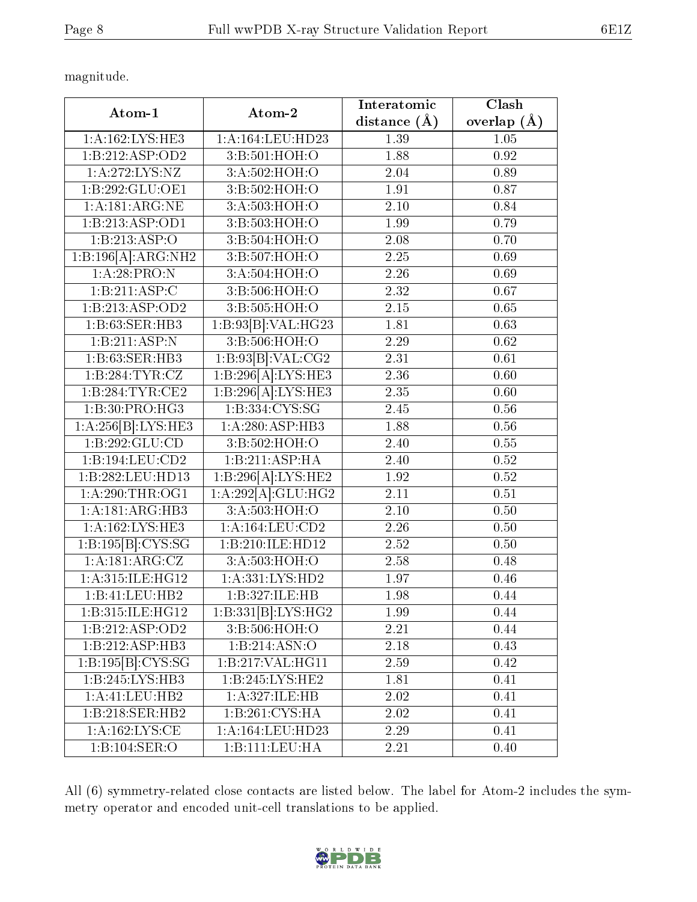magnitude.

| Atom-1                               | Atom-2                             | Interatomic       | Clash         |
|--------------------------------------|------------------------------------|-------------------|---------------|
|                                      |                                    | distance $(\AA)$  | overlap $(A)$ |
| 1: A: 162: LYS: HE3                  | 1:A:164:LEU:HD23                   | 1.39              | 1.05          |
| 1:B:212:ASP:OD2                      | 3:B:501:HOH:O                      | 1.88              | 0.92          |
| 1:A:272:LYS:NZ                       | 3: A:502: HOH:O                    | 2.04              | 0.89          |
| 1:B:292:GLU:OE1                      | 3:B:502:HOH:O                      | 1.91              | 0.87          |
| 1: A:181: ARG:NE                     | 3:A:503:HOH:O                      | 2.10              | 0.84          |
| 1:B:213:ASP:OD1                      | 3:B:503:HOH:O                      | 1.99              | 0.79          |
| 1:B:213:ASP:O                        | 3:B:504:HOH:O                      | 2.08              | 0.70          |
| 1:B:196[A]:ARG:NH2                   | 3:B:507:HOH:O                      | 2.25              | 0.69          |
| 1:A:28:PRO:N                         | 3:A:504:HOH:O                      | 2.26              | 0.69          |
| 1:B:211:ASP:C                        | 3:B:506:HOH:O                      | $\overline{2.32}$ | 0.67          |
| 1:B:213:ASP:OD2                      | 3:B:505:HOH:O                      | 2.15              | 0.65          |
| 1:B:63:SER:HB3                       | 1:B:93[B]:VAL:HG23                 | 1.81              | 0.63          |
| 1:B:211:ASP:N                        | 3:5:506:HOH:O                      | 2.29              | 0.62          |
| 1:B:63:SER:HB3                       | 1:B:93[B]:VAL:CG2                  | 2.31              | 0.61          |
| 1:B:284:TYR:CZ                       | 1:B:296[A]:LYS:HE3                 | 2.36              | 0.60          |
| 1:B:284:TYR:CE2                      | 1:B:296[A]:LYS:HE3                 | 2.35              | 0.60          |
| 1:B:30:PRO:HG3                       | 1:B:334:CYS:SG                     | 2.45              | 0.56          |
| 1:A:256[B]:LYS:HE3                   | 1:A:280:ASP:HB3                    | 1.88              | 0.56          |
| 1:B:292:GLU:CD                       | 3:B:502:HOH:O                      | 2.40              | 0.55          |
| 1:B:194:LEU:CD2                      | 1:B:211:ASP:HA                     | 2.40              | 0.52          |
| 1:B:282:LEU:HD13                     | 1:B:296[A]:LYS:HE2                 | 1.92              | 0.52          |
| 1: A:290:THR:OG1                     | 1:A:292[A]:GLU:HG2                 | $\overline{2.11}$ | 0.51          |
| 1: A:181: ARG:HB3                    | 3:A:503:HOH:O                      | 2.10              | 0.50          |
| 1:A:162:LYS:HE3                      | 1: A: 164: LEU: CD2                | 2.26              | 0.50          |
| 1:B:195[B]:CYS:SG                    | 1:B:210:ILE:HD12                   | 2.52              | 0.50          |
| $1:A:181:\overline{\text{ARG:CZ}}$   | 3:A:503:HOH:O                      | 2.58              | 0.48          |
| 1:A:315:ILE:HG12                     | 1: A: 331: LYS: HD2                | 1.97              | 0.46          |
| 1:B:41:LEU:HB2                       | 1:B:327:ILE:HB                     | 1.98              | 0.44          |
| 1:B:315:ILE:HG12                     | 1:B:331[B]:LYS:HG2                 | 1.99              | 0.44          |
| $1:B:212: \overline{\text{ASP:OD2}}$ | 3:B:506:HOH:O                      | 2.21              | 0.44          |
| 1:B:212:ASP:HB3                      | 1:B:214:ASN:O                      | $2.18\,$          | 0.43          |
| 1:B:195[B]:CYS:SG                    | 1:B:217:VAL:HG11                   | 2.59              | 0.42          |
| 1:B:245:LYS:HB3                      | 1:B:245:LYS:HE2                    | 1.81              | 0.41          |
| 1:A:41:LEU:HB2                       | 1:A:327:ILE:HB                     | 2.02              | 0.41          |
| 1:B:218:SER:HB2                      | 1:B:261:CYS:HA                     | 2.02              | 0.41          |
| 1: A: 162: LYS: CE                   | 1:A:164:LEU:HD23                   | 2.29              | 0.41          |
| 1:B:104:SER:O                        | $1:B:111:\overline{\text{LEU:HA}}$ | 2.21              | 0.40          |

All (6) symmetry-related close contacts are listed below. The label for Atom-2 includes the symmetry operator and encoded unit-cell translations to be applied.

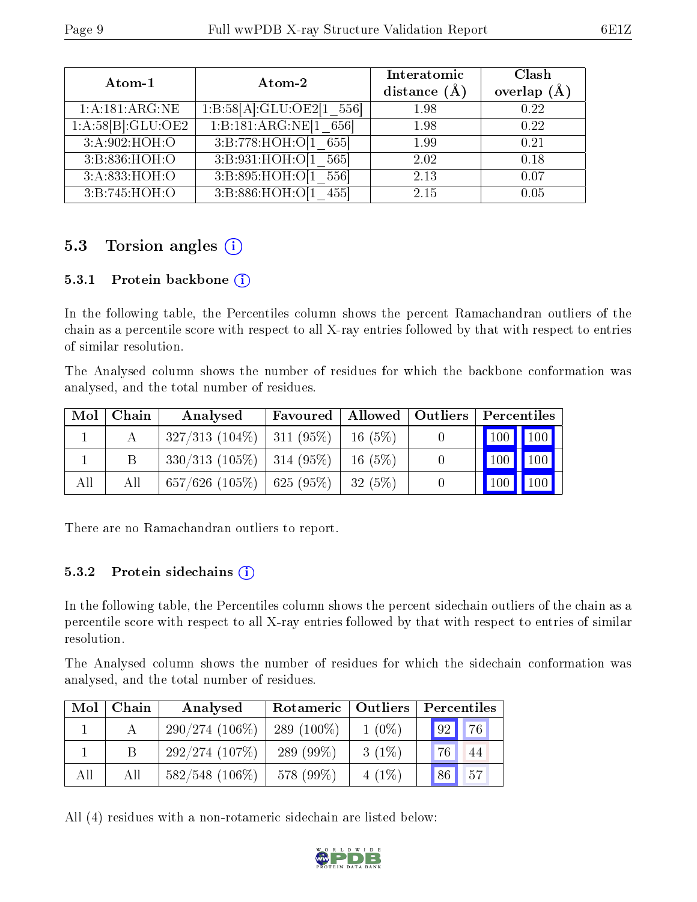| Atom-1                         | Atom-2                   | Interatomic<br>distance $(A)$ | Clash<br>overlap $(\AA)$ |
|--------------------------------|--------------------------|-------------------------------|--------------------------|
| 1: A:181: ARG:NE               | 1:B:58[A]:GLU:OE2[1 556] | 1.98                          | 0.22                     |
| $1:A:58[B]:\overline{GLU:OE2}$ | 1:B:181:ARG:NE[1 656]    | 1.98                          | 0.22                     |
| 3:A:902:HOH:O                  | 3:B:778:HOH:O[1 655]     | 1.99                          | 0.21                     |
| 3:B:836:HOH:O                  | 3:B:931:HOH:O[1 565]     | 2.02                          | 0.18                     |
| 3:A:833:HOH:O                  | 3:B:895:HOH:O[1 556]     | 2.13                          | 0.07                     |
| 3:B:745:HOH:O                  | 3:B:886:HOH:O[1<br>455   | 2.15                          | 0.05                     |

### 5.3 Torsion angles (i)

#### 5.3.1 Protein backbone (i)

In the following table, the Percentiles column shows the percent Ramachandran outliers of the chain as a percentile score with respect to all X-ray entries followed by that with respect to entries of similar resolution.

The Analysed column shows the number of residues for which the backbone conformation was analysed, and the total number of residues.

| $\text{Mol}$ | Chain | Analysed                           | Favoured   Allowed   Outliers |           | Percentiles                     |  |
|--------------|-------|------------------------------------|-------------------------------|-----------|---------------------------------|--|
|              |       | $327/313$ (104\%)   311 (95\%)     |                               | 16(5%)    | 100 100                         |  |
|              | В     | $330/313$ (105\%)   314 (95\%)     |                               | 16(5%)    | 100 100                         |  |
| All          | All   | $657/626$ $(105\%)$   625 $(95\%)$ |                               | $-32(5%)$ | $\vert$ 100 $\vert$ 100 $\vert$ |  |

There are no Ramachandran outliers to report.

#### 5.3.2 Protein sidechains  $(i)$

In the following table, the Percentiles column shows the percent sidechain outliers of the chain as a percentile score with respect to all X-ray entries followed by that with respect to entries of similar resolution.

The Analysed column shows the number of residues for which the sidechain conformation was analysed, and the total number of residues.

| Mol | Chain | Analysed          | Rotameric   Outliers |          | Percentiles |    |  |
|-----|-------|-------------------|----------------------|----------|-------------|----|--|
|     |       | $290/274(106\%)$  | 289 $(100\%)$        | $1(0\%)$ | 92          | 76 |  |
|     |       | 292/274(107%)     | 289 $(99\%)$         | $3(1\%)$ | 76          | 44 |  |
| All | All   | $582/548$ (106\%) | 578 (99%)            | $4(1\%)$ | 86          | 57 |  |

All (4) residues with a non-rotameric sidechain are listed below:

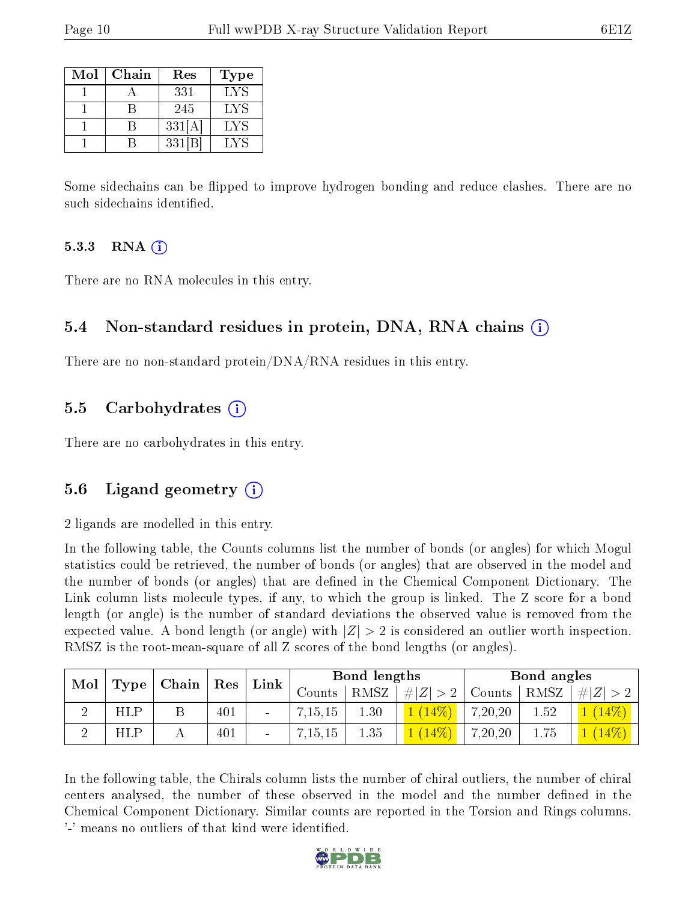| Mol | Chain | Res    | Type |
|-----|-------|--------|------|
|     |       | 331    | LYS  |
|     |       | 245    | LYS  |
|     |       | 331[A] | LYS  |
|     |       | 331 B  | LYS  |

Some sidechains can be flipped to improve hydrogen bonding and reduce clashes. There are no such sidechains identified.

#### $5.3.3$  RNA  $(i)$

There are no RNA molecules in this entry.

#### 5.4 Non-standard residues in protein, DNA, RNA chains (i)

There are no non-standard protein/DNA/RNA residues in this entry.

#### 5.5 Carbohydrates  $(i)$

There are no carbohydrates in this entry.

#### 5.6 Ligand geometry  $(i)$

2 ligands are modelled in this entry.

In the following table, the Counts columns list the number of bonds (or angles) for which Mogul statistics could be retrieved, the number of bonds (or angles) that are observed in the model and the number of bonds (or angles) that are defined in the Chemical Component Dictionary. The Link column lists molecule types, if any, to which the group is linked. The Z score for a bond length (or angle) is the number of standard deviations the observed value is removed from the expected value. A bond length (or angle) with  $|Z| > 2$  is considered an outlier worth inspection. RMSZ is the root-mean-square of all Z scores of the bond lengths (or angles).

| Mol |            | Chain |     |                          |          |      | $\mid$ Res  | $\perp$ Link $\perp$ | Bond lengths |     |  | Bond angles |  |  |
|-----|------------|-------|-----|--------------------------|----------|------|-------------|----------------------|--------------|-----|--|-------------|--|--|
|     | Type       |       |     |                          | Counts - | RMSZ | # $ Z  > 2$ | $\frac{1}{2}$ Counts | RMSZ         | # Z |  |             |  |  |
|     | HLP        |       | 401 | $\blacksquare$           | 7,15,15  | 1.30 |             | 7,20,20              | 1.52         |     |  |             |  |  |
|     | <b>HLP</b> |       | 401 | $\overline{\phantom{a}}$ | 7,15,15  | 1.35 | $14\%$      | 7,20,20              | 1.75         |     |  |             |  |  |

In the following table, the Chirals column lists the number of chiral outliers, the number of chiral centers analysed, the number of these observed in the model and the number defined in the Chemical Component Dictionary. Similar counts are reported in the Torsion and Rings columns. '-' means no outliers of that kind were identified.

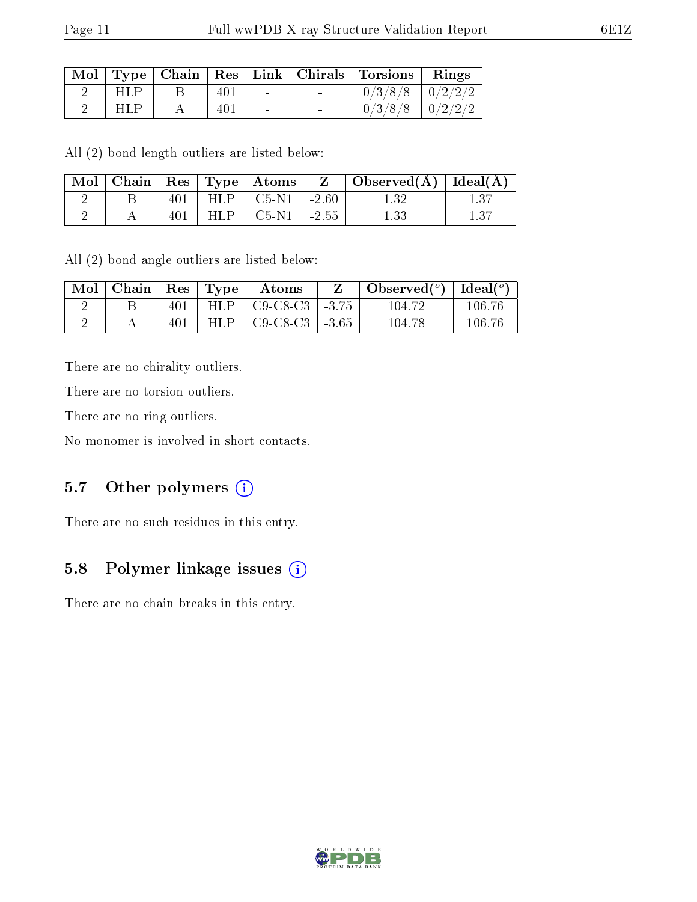|            |     |                          | Mol   Type   Chain   Res   Link   Chirals   Torsions   Rings |  |
|------------|-----|--------------------------|--------------------------------------------------------------|--|
| HLP        | 401 | <b>Contract Contract</b> | $0/3/8/8$   $0/2/2/2$                                        |  |
| <b>HLP</b> | 401 | $\sim$                   | $0/3/8/8$   $0/2/2/2$                                        |  |

All (2) bond length outliers are listed below:

| $\sim$ Mol | Chain |      | $\parallel$ Res $\parallel$ Type $\parallel$ Atoms |         | Observed $(\overline{A})$ [deal $(\overline{A})$ ] |       |
|------------|-------|------|----------------------------------------------------|---------|----------------------------------------------------|-------|
|            |       | HLP. | $\mid$ C5-N1                                       | $-2.60$ | .32                                                | $-37$ |
|            |       |      | $C5-N1$                                            | $-2.55$ | . 33                                               | 1.37  |

All (2) bond angle outliers are listed below:

| Mol | Chain | $\operatorname{Res}$ | $\lq$ Type | Atoms      |         | Observed $(°)$ | Ideal $(°)$ |
|-----|-------|----------------------|------------|------------|---------|----------------|-------------|
|     |       | 401                  | HLP.       | $C9-C8-C3$ | $-3.75$ | 104 72         | $106.76\,$  |
|     |       | 401                  | HLP        | $C9-C8-C3$ | $-3.65$ | 104.78         | 106 76      |

There are no chirality outliers.

There are no torsion outliers.

There are no ring outliers.

No monomer is involved in short contacts.

#### 5.7 [O](https://www.wwpdb.org/validation/2017/XrayValidationReportHelp#nonstandard_residues_and_ligands)ther polymers (i)

There are no such residues in this entry.

### 5.8 Polymer linkage issues (i)

There are no chain breaks in this entry.

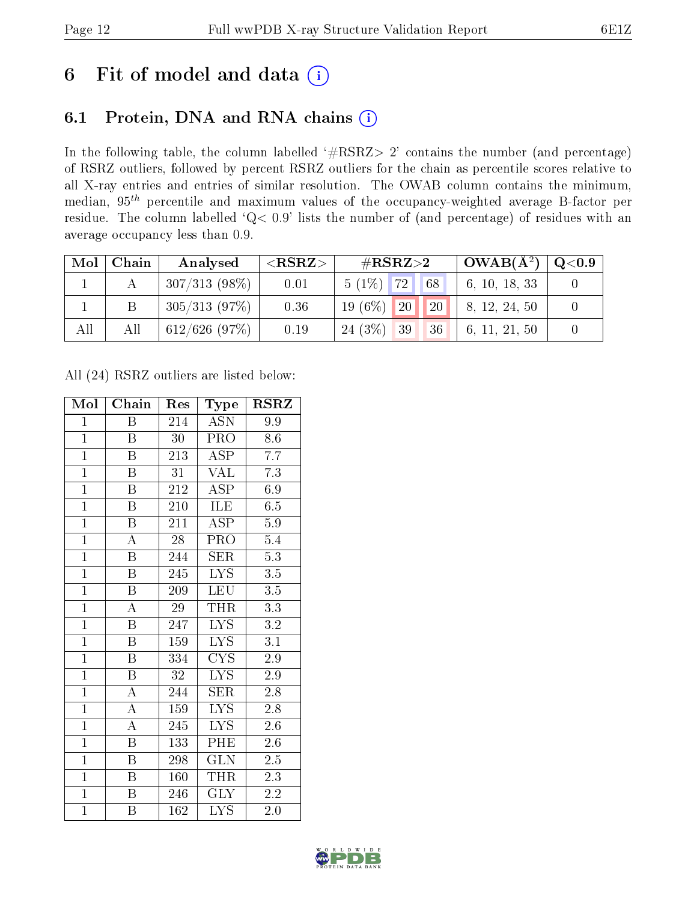### 6 Fit of model and data  $(i)$

### 6.1 Protein, DNA and RNA chains  $(i)$

In the following table, the column labelled  $#RSRZ> 2'$  contains the number (and percentage) of RSRZ outliers, followed by percent RSRZ outliers for the chain as percentile scores relative to all X-ray entries and entries of similar resolution. The OWAB column contains the minimum, median,  $95<sup>th</sup>$  percentile and maximum values of the occupancy-weighted average B-factor per residue. The column labelled ' $Q< 0.9$ ' lists the number of (and percentage) of residues with an average occupancy less than 0.9.

| Mol | Chain | Analysed         | $<$ RSRZ $>$ | $\#\text{RSRZ}\text{>2}$      | $\pm$ OWAB( $\rm A^2) \pm$ | $\mid \text{Q} {<} 0.9 \mid$ |
|-----|-------|------------------|--------------|-------------------------------|----------------------------|------------------------------|
|     |       | $307/313(98\%)$  | 0.01         | $5(1\%)$ 72 68                | 6, 10, 18, 33              |                              |
|     |       | 305/313(97%)     | 0.36         | 20 <br><b>20</b><br>19 $(6%)$ | 8, 12, 24, 50              |                              |
| All | All   | $612/626$ (97\%) | 0.19         | $24(3\%)$ 39<br> 36           | 6, 11, 21, 50              |                              |

All (24) RSRZ outliers are listed below:

| Mol            | Chain                     | Res             | Type                    | $\rm RSRZ$       |
|----------------|---------------------------|-----------------|-------------------------|------------------|
| $\mathbf{1}$   | B                         | 214             | <b>ASN</b>              | 9.9              |
| $\overline{1}$ | B                         | 30              | <b>PRO</b>              | 8.6              |
| $\overline{1}$ | B                         | 213             | ASP                     | $\overline{7.7}$ |
| $\overline{1}$ | $\boldsymbol{\mathrm{B}}$ | 31              | <b>VAL</b>              | $7.3\,$          |
| $\overline{1}$ | $\overline{\mathrm{B}}$   | 212             | $\overline{\rm ASP}$    | 6.9              |
| $\overline{1}$ | $\boldsymbol{B}$          | 210             | ILE                     | 6.5              |
| $\overline{1}$ | $\overline{\mathrm{B}}$   | 211             | <b>ASP</b>              | 5.9              |
| $\overline{1}$ | $\overline{\rm A}$        | $\overline{28}$ | PRO                     | $5.4\,$          |
| $\overline{1}$ | $\overline{\mathrm{B}}$   | 244             | <b>SER</b>              | $\overline{5.3}$ |
| $\overline{1}$ | $\overline{\mathrm{B}}$   | 245             | $\overline{\text{LYS}}$ | $\overline{3.5}$ |
| $\overline{1}$ | $\, {\bf B}$              | 209             | <b>LEU</b>              | $3.5\,$          |
| $\overline{1}$ | $\overline{\rm A}$        | $\overline{29}$ | <b>THR</b>              | $3.3\,$          |
| $\overline{1}$ | $\overline{B}$            | 247             | $\overline{\text{LYS}}$ | 3.2              |
| $\mathbf{1}$   | $\boldsymbol{B}$          | 159             | $\overline{\text{LYS}}$ | $\overline{3.1}$ |
| $\overline{1}$ | $\overline{\mathrm{B}}$   | 334             | $\overline{\text{CYS}}$ | $\overline{2.9}$ |
| $\overline{1}$ | $\boldsymbol{B}$          | 32              | $\overline{\text{LYS}}$ | 2.9              |
| $\overline{1}$ | $\overline{\rm A}$        | 244             | SER                     | $\overline{2.8}$ |
| $\overline{1}$ | $\boldsymbol{A}$          | 159             | <b>LYS</b>              | 2.8              |
| $\overline{1}$ | $\overline{\rm A}$        | 245             | LYS                     | 2.6              |
| $\mathbf{1}$   | $\overline{B}$            | 133             | PHE                     | 2.6              |
| $\overline{1}$ | $\boldsymbol{B}$          | 298             | GLN                     | 2.5              |
| $\overline{1}$ | B                         | 160             | THR                     | 2.3              |
| $\mathbf{1}$   | B                         | 246             | <b>GLY</b>              | $2.2\,$          |
| $\overline{1}$ | Β                         | 162             | $\overline{\text{LYS}}$ | 2.0              |